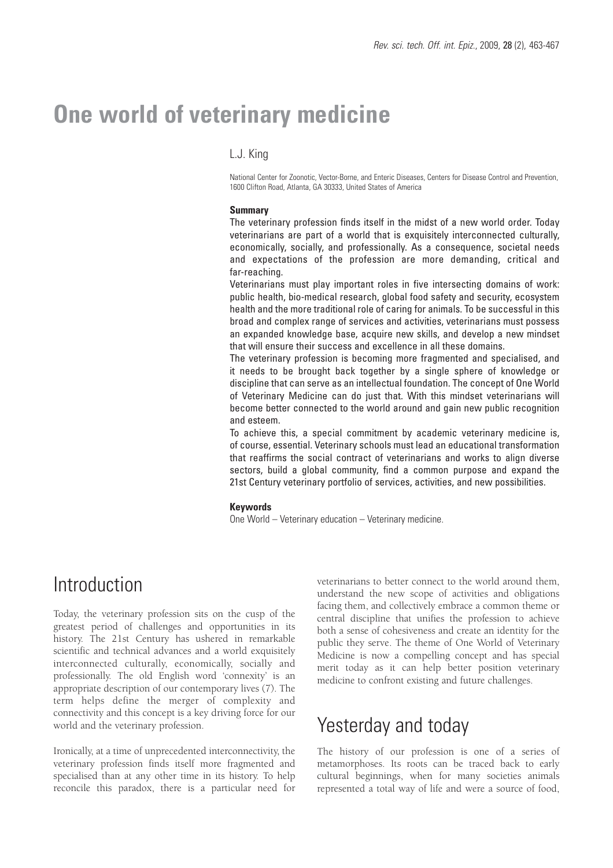# **One world of veterinary medicine**

#### L.J. King

National Center for Zoonotic, Vector-Borne, and Enteric Diseases, Centers for Disease Control and Prevention, 1600 Clifton Road, Atlanta, GA 30333, United States of America

#### **Summary**

The veterinary profession finds itself in the midst of a new world order. Today veterinarians are part of a world that is exquisitely interconnected culturally, economically, socially, and professionally. As a consequence, societal needs and expectations of the profession are more demanding, critical and far-reaching.

Veterinarians must play important roles in five intersecting domains of work: public health, bio-medical research, global food safety and security, ecosystem health and the more traditional role of caring for animals. To be successful in this broad and complex range of services and activities, veterinarians must possess an expanded knowledge base, acquire new skills, and develop a new mindset that will ensure their success and excellence in all these domains.

The veterinary profession is becoming more fragmented and specialised, and it needs to be brought back together by a single sphere of knowledge or discipline that can serve as an intellectual foundation. The concept of One World of Veterinary Medicine can do just that. With this mindset veterinarians will become better connected to the world around and gain new public recognition and esteem.

To achieve this, a special commitment by academic veterinary medicine is, of course, essential. Veterinary schools must lead an educational transformation that reaffirms the social contract of veterinarians and works to align diverse sectors, build a global community, find a common purpose and expand the 21st Century veterinary portfolio of services, activities, and new possibilities.

#### **Keywords**

One World – Veterinary education – Veterinary medicine.

## Introduction

Today, the veterinary profession sits on the cusp of the greatest period of challenges and opportunities in its history. The 21st Century has ushered in remarkable scientific and technical advances and a world exquisitely interconnected culturally, economically, socially and professionally. The old English word 'connexity' is an appropriate description of our contemporary lives (7). The term helps define the merger of complexity and connectivity and this concept is a key driving force for our world and the veterinary profession.

Ironically, at a time of unprecedented interconnectivity, the veterinary profession finds itself more fragmented and specialised than at any other time in its history. To help reconcile this paradox, there is a particular need for

veterinarians to better connect to the world around them, understand the new scope of activities and obligations facing them, and collectively embrace a common theme or central discipline that unifies the profession to achieve both a sense of cohesiveness and create an identity for the public they serve. The theme of One World of Veterinary Medicine is now a compelling concept and has special merit today as it can help better position veterinary medicine to confront existing and future challenges.

## Yesterday and today

The history of our profession is one of a series of metamorphoses. Its roots can be traced back to early cultural beginnings, when for many societies animals represented a total way of life and were a source of food,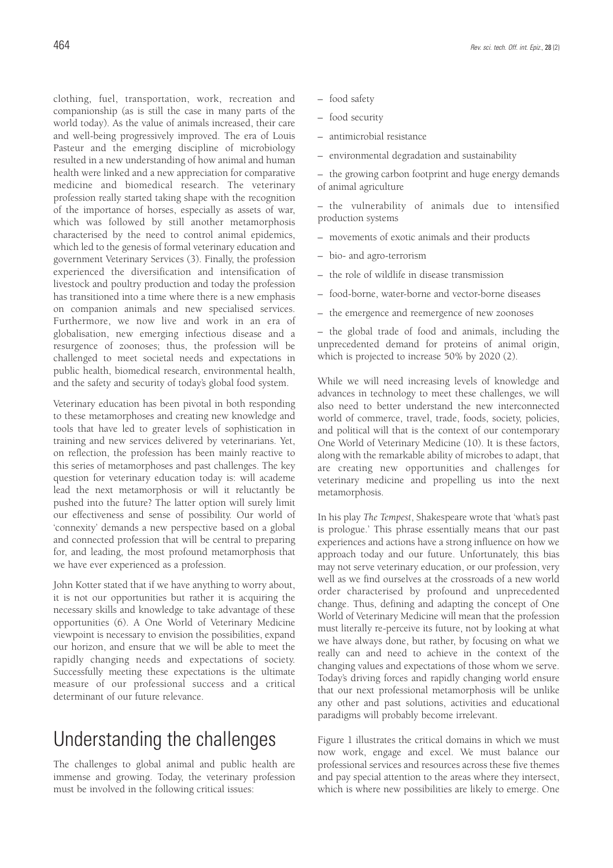and well-being progressively improved. The era of Louis Pasteur and the emerging discipline of microbiology resulted in a new understanding of how animal and human health were linked and a new appreciation for comparative medicine and biomedical research. The veterinary profession really started taking shape with the recognition of the importance of horses, especially as assets of war, which was followed by still another metamorphosis characterised by the need to control animal epidemics, which led to the genesis of formal veterinary education and government Veterinary Services (3). Finally, the profession experienced the diversification and intensification of livestock and poultry production and today the profession has transitioned into a time where there is a new emphasis on companion animals and new specialised services. Furthermore, we now live and work in an era of globalisation, new emerging infectious disease and a resurgence of zoonoses; thus, the profession will be challenged to meet societal needs and expectations in public health, biomedical research, environmental health, and the safety and security of today's global food system.

Veterinary education has been pivotal in both responding to these metamorphoses and creating new knowledge and tools that have led to greater levels of sophistication in training and new services delivered by veterinarians. Yet, on reflection, the profession has been mainly reactive to this series of metamorphoses and past challenges. The key question for veterinary education today is: will academe lead the next metamorphosis or will it reluctantly be pushed into the future? The latter option will surely limit our effectiveness and sense of possibility. Our world of 'connexity' demands a new perspective based on a global and connected profession that will be central to preparing for, and leading, the most profound metamorphosis that we have ever experienced as a profession.

John Kotter stated that if we have anything to worry about, it is not our opportunities but rather it is acquiring the necessary skills and knowledge to take advantage of these opportunities (6). A One World of Veterinary Medicine viewpoint is necessary to envision the possibilities, expand our horizon, and ensure that we will be able to meet the rapidly changing needs and expectations of society. Successfully meeting these expectations is the ultimate measure of our professional success and a critical determinant of our future relevance.

# Understanding the challenges

The challenges to global animal and public health are immense and growing. Today, the veterinary profession must be involved in the following critical issues:

- antimicrobial resistance
- environmental degradation and sustainability

– the growing carbon footprint and huge energy demands of animal agriculture

– the vulnerability of animals due to intensified production systems

- movements of exotic animals and their products
- bio- and agro-terrorism
- the role of wildlife in disease transmission
- food-borne, water-borne and vector-borne diseases
- the emergence and reemergence of new zoonoses

– the global trade of food and animals, including the unprecedented demand for proteins of animal origin, which is projected to increase 50% by 2020 (2).

While we will need increasing levels of knowledge and advances in technology to meet these challenges, we will also need to better understand the new interconnected world of commerce, travel, trade, foods, society, policies, and political will that is the context of our contemporary One World of Veterinary Medicine (10). It is these factors, along with the remarkable ability of microbes to adapt, that are creating new opportunities and challenges for veterinary medicine and propelling us into the next metamorphosis.

In his play *The Tempest*, Shakespeare wrote that 'what's past is prologue.' This phrase essentially means that our past experiences and actions have a strong influence on how we approach today and our future. Unfortunately, this bias may not serve veterinary education, or our profession, very well as we find ourselves at the crossroads of a new world order characterised by profound and unprecedented change. Thus, defining and adapting the concept of One World of Veterinary Medicine will mean that the profession must literally re-perceive its future, not by looking at what we have always done, but rather, by focusing on what we really can and need to achieve in the context of the changing values and expectations of those whom we serve. Today's driving forces and rapidly changing world ensure that our next professional metamorphosis will be unlike any other and past solutions, activities and educational paradigms will probably become irrelevant.

Figure 1 illustrates the critical domains in which we must now work, engage and excel. We must balance our professional services and resources across these five themes and pay special attention to the areas where they intersect, which is where new possibilities are likely to emerge. One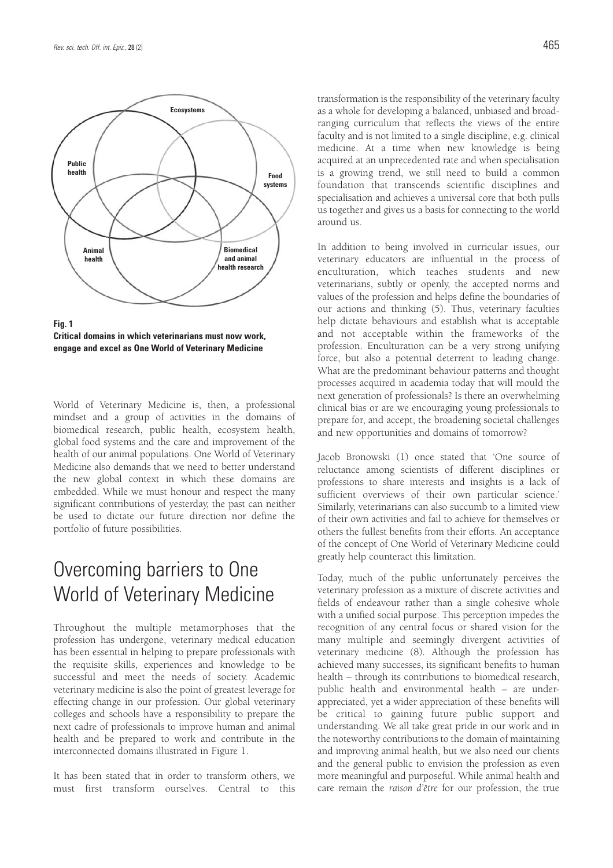

**Fig. 1 Critical domains in which veterinarians must now work, engage and excel as One World of Veterinary Medicine**

World of Veterinary Medicine is, then, a professional mindset and a group of activities in the domains of biomedical research, public health, ecosystem health, global food systems and the care and improvement of the health of our animal populations. One World of Veterinary Medicine also demands that we need to better understand the new global context in which these domains are embedded. While we must honour and respect the many significant contributions of yesterday, the past can neither be used to dictate our future direction nor define the portfolio of future possibilities.

# Overcoming barriers to One World of Veterinary Medicine

Throughout the multiple metamorphoses that the profession has undergone, veterinary medical education has been essential in helping to prepare professionals with the requisite skills, experiences and knowledge to be successful and meet the needs of society. Academic veterinary medicine is also the point of greatest leverage for effecting change in our profession. Our global veterinary colleges and schools have a responsibility to prepare the next cadre of professionals to improve human and animal health and be prepared to work and contribute in the interconnected domains illustrated in Figure 1.

It has been stated that in order to transform others, we must first transform ourselves. Central to this transformation is the responsibility of the veterinary faculty as a whole for developing a balanced, unbiased and broadranging curriculum that reflects the views of the entire faculty and is not limited to a single discipline, e.g. clinical medicine. At a time when new knowledge is being acquired at an unprecedented rate and when specialisation is a growing trend, we still need to build a common foundation that transcends scientific disciplines and specialisation and achieves a universal core that both pulls us together and gives us a basis for connecting to the world around us.

In addition to being involved in curricular issues, our veterinary educators are influential in the process of enculturation, which teaches students and new veterinarians, subtly or openly, the accepted norms and values of the profession and helps define the boundaries of our actions and thinking (5). Thus, veterinary faculties help dictate behaviours and establish what is acceptable and not acceptable within the frameworks of the profession. Enculturation can be a very strong unifying force, but also a potential deterrent to leading change. What are the predominant behaviour patterns and thought processes acquired in academia today that will mould the next generation of professionals? Is there an overwhelming clinical bias or are we encouraging young professionals to prepare for, and accept, the broadening societal challenges and new opportunities and domains of tomorrow?

Jacob Bronowski (1) once stated that 'One source of reluctance among scientists of different disciplines or professions to share interests and insights is a lack of sufficient overviews of their own particular science.' Similarly, veterinarians can also succumb to a limited view of their own activities and fail to achieve for themselves or others the fullest benefits from their efforts. An acceptance of the concept of One World of Veterinary Medicine could greatly help counteract this limitation.

Today, much of the public unfortunately perceives the veterinary profession as a mixture of discrete activities and fields of endeavour rather than a single cohesive whole with a unified social purpose. This perception impedes the recognition of any central focus or shared vision for the many multiple and seemingly divergent activities of veterinary medicine (8). Although the profession has achieved many successes, its significant benefits to human health – through its contributions to biomedical research, public health and environmental health – are underappreciated, yet a wider appreciation of these benefits will be critical to gaining future public support and understanding. We all take great pride in our work and in the noteworthy contributions to the domain of maintaining and improving animal health, but we also need our clients and the general public to envision the profession as even more meaningful and purposeful. While animal health and care remain the *raison d'être* for our profession, the true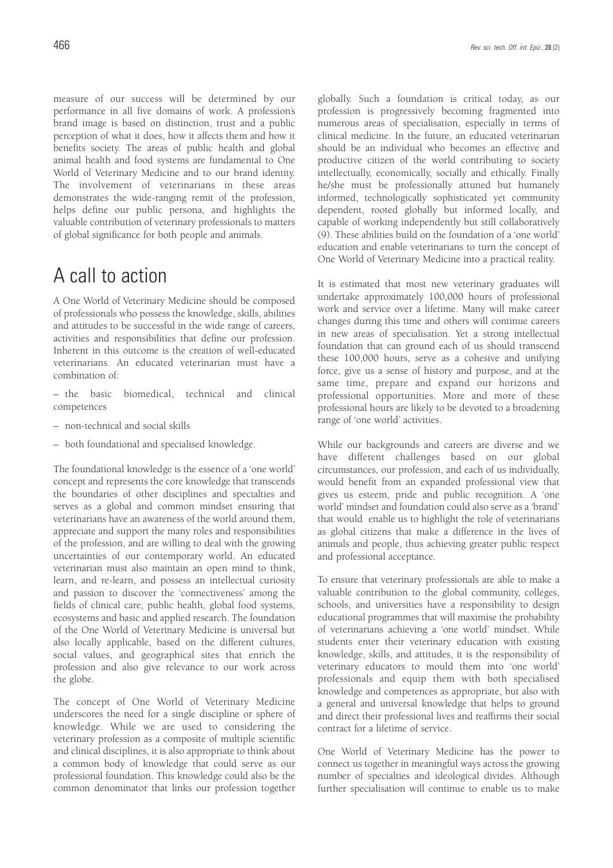measure of our success will be determined by our performance in all five domains of work. A profession's brand image is based on distinction, trust and a public perception of what it does, how it affects them and how it benefits society. The areas of public health and global animal health and food systems are fundamental to One World of Veterinary Medicine and to our brand identity. The involvement of veterinarians in these areas demonstrates the wide-ranging remit of the profession, helps define our public persona, and highlights the valuable contribution of veterinary professionals to matters of global significance for both people and animals.

## A call to action

A One World of Veterinary Medicine should be composed of professionals who possess the knowledge, skills, abilities and attitudes to be successful in the wide range of careers, activities and responsibilities that define our profession. Inherent in this outcome is the creation of well-educated veterinarians. An educated veterinarian must have a combination of:

– the basic biomedical, technical and clinical competences

- non-technical and social skills
- both foundational and specialised knowledge.

The foundational knowledge is the essence of a 'one world' concept and represents the core knowledge that transcends the boundaries of other disciplines and specialties and serves as a global and common mindset ensuring that veterinarians have an awareness of the world around them, appreciate and support the many roles and responsibilities of the profession, and are willing to deal with the growing uncertainties of our contemporary world. An educated veterinarian must also maintain an open mind to think, learn, and re-learn, and possess an intellectual curiosity and passion to discover the 'connectiveness' among the fields of clinical care, public health, global food systems, ecosystems and basic and applied research. The foundation of the One World of Veterinary Medicine is universal but also locally applicable, based on the different cultures, social values, and geographical sites that enrich the profession and also give relevance to our work across the globe.

The concept of One World of Veterinary Medicine underscores the need for a single discipline or sphere of knowledge. While we are used to considering the veterinary profession as a composite of multiple scientific and clinical disciplines, it is also appropriate to think about a common body of knowledge that could serve as our professional foundation. This knowledge could also be the common denominator that links our profession together

globally. Such a foundation is critical today, as our profession is progressively becoming fragmented into numerous areas of specialisation, especially in terms of clinical medicine. In the future, an educated veterinarian should be an individual who becomes an effective and productive citizen of the world contributing to society intellectually, economically, socially and ethically. Finally he/she must be professionally attuned but humanely informed, technologically sophisticated yet community dependent, rooted globally but informed locally, and capable of working independently but still collaboratively (9). These abilities build on the foundation of a 'one world' education and enable veterinarians to turn the concept of One World of Veterinary Medicine into a practical reality.

It is estimated that most new veterinary graduates will undertake approximately 100,000 hours of professional work and service over a lifetime. Many will make career changes during this time and others will continue careers in new areas of specialisation. Yet a strong intellectual foundation that can ground each of us should transcend these 100,000 hours, serve as a cohesive and unifying force, give us a sense of history and purpose, and at the same time, prepare and expand our horizons and professional opportunities. More and more of these professional hours are likely to be devoted to a broadening range of 'one world' activities.

While our backgrounds and careers are diverse and we have different challenges based on our global circumstances, our profession, and each of us individually, would benefit from an expanded professional view that gives us esteem, pride and public recognition. A 'one world' mindset and foundation could also serve as a 'brand' that would enable us to highlight the role of veterinarians as global citizens that make a difference in the lives of animals and people, thus achieving greater public respect and professional acceptance.

To ensure that veterinary professionals are able to make a valuable contribution to the global community, colleges, schools, and universities have a responsibility to design educational programmes that will maximise the probability of veterinarians achieving a 'one world' mindset. While students enter their veterinary education with existing knowledge, skills, and attitudes, it is the responsibility of veterinary educators to mould them into 'one world' professionals and equip them with both specialised knowledge and competences as appropriate, but also with a general and universal knowledge that helps to ground and direct their professional lives and reaffirms their social contract for a lifetime of service.

One World of Veterinary Medicine has the power to connect us together in meaningful ways across the growing number of specialties and ideological divides. Although further specialisation will continue to enable us to make